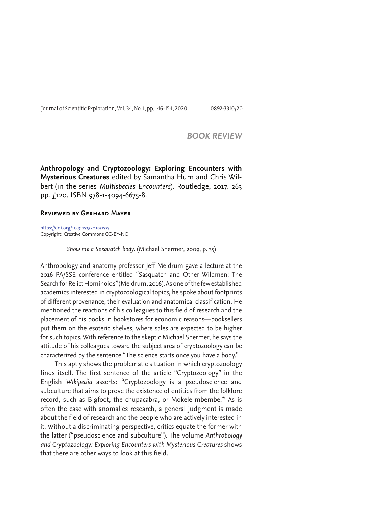Journal of Scientific Exploration, Vol. 34, No. 1, pp. 146-154, 2020 0892-3310/20

# *BOOK REVIEW*

**Anthropology and Cryptozoology: Exploring Encounters with Mysterious Creatures** edited by Samantha Hurn and Chris Wilbert (in the series *Multispecies Encounters*). Routledge, 2017. 263 pp. £120. ISBN 978-1-4094-6675-8.

## **Reviewed by Gerhard Mayer**

https://doi.org/10.31275/2019/1737 Copyright: Creative Commons CC-BY-NC

*Show me a Sasquatch body*. (Michael Shermer, 2009, p. 35)

Anthropology and anatomy professor Jeff Meldrum gave a lecture at the 2016 PA/SSE conference entitled "Sasquatch and Other Wildmen: The Search for Relict Hominoids" (Meldrum, 2016). As one of the few established academics interested in cryptozoological topics, he spoke about footprints of different provenance, their evaluation and anatomical classification. He mentioned the reactions of his colleagues to this field of research and the placement of his books in bookstores for economic reasons—booksellers put them on the esoteric shelves, where sales are expected to be higher for such topics. With reference to the skeptic Michael Shermer, he says the attitude of his colleagues toward the subject area of cryptozoology can be characterized by the sentence "The science starts once you have a body."

This aptly shows the problematic situation in which cryptozoology finds itself. The first sentence of the article "Cryptozoology" in the English *Wikipedia* asserts: "Cryptozoology is a pseudoscience and subculture that aims to prove the existence of entities from the folklore record, such as Bigfoot, the chupacabra, or Mokele-mbembe."<sup>1</sup> As is often the case with anomalies research, a general judgment is made about the field of research and the people who are actively interested in it. Without a discriminating perspective, critics equate the former with the latter ("pseudoscience and subculture"). The volume *Anthropology and Cryptozoology: Exploring Encounters with Mysterious Creatures* shows that there are other ways to look at this field.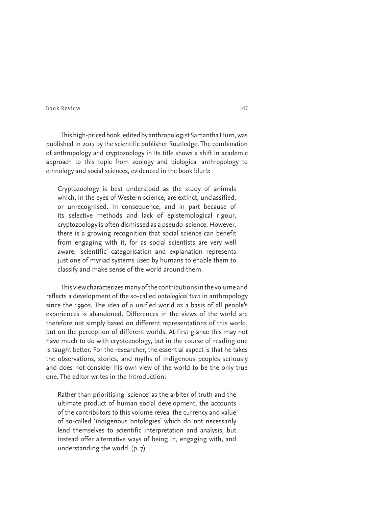This high-priced book, edited by anthropologist Samantha Hurn, was published in 2017 by the scientific publisher Routledge. The combination of anthropology and cryptozoology in its title shows a shift in academic approach to this topic from zoology and biological anthropology to ethnology and social sciences, evidenced in the book blurb:

Cryptozoology is best understood as the study of animals which, in the eyes of Western science, are extinct, unclassified, or unrecognised. In consequence, and in part because of its selective methods and lack of epistemological rigour, cryptozoology is often dismissed as a pseudo-science. However, there is a growing recognition that social science can benefit from engaging with it, for as social scientists are very well aware, 'scientific' categorisation and explanation represents just one of myriad systems used by humans to enable them to classify and make sense of the world around them.

This view characterizes many of the contributions in the volume and reflects a development of the so-called *ontological turn* in anthropology since the 1990s. The idea of a unified world as a basis of all people's experiences is abandoned. Differences in the views of the world are therefore not simply based on different representations of this world, but on the perception of different worlds. At first glance this may not have much to do with cryptozoology, but in the course of reading one is taught better. For the researcher, the essential aspect is that he takes the observations, stories, and myths of indigenous peoples seriously and does not consider his own view of the world to be the only true one. The editor writes in the Introduction:

Rather than prioritising 'science' as the arbiter of truth and the ultimate product of human social development, the accounts of the contributors to this volume reveal the currency and value of so-called 'indigenous ontologies' which do not necessarily lend themselves to scientific interpretation and analysis, but instead offer alternative ways of being in, engaging with, and understanding the world. (p. 7)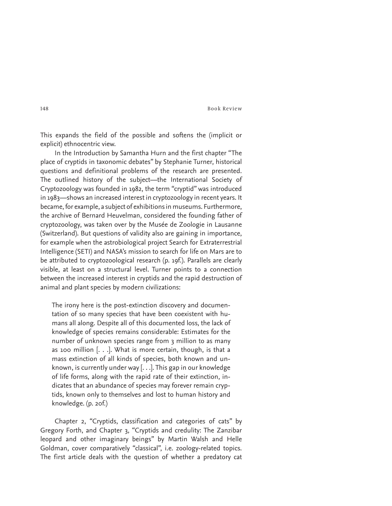This expands the field of the possible and softens the (implicit or explicit) ethnocentric view.

In the Introduction by Samantha Hurn and the first chapter "The place of cryptids in taxonomic debates" by Stephanie Turner, historical questions and definitional problems of the research are presented. The outlined history of the subject—the International Society of Cryptozoology was founded in 1982, the term "cryptid" was introduced in 1983—shows an increased interest in cryptozoology in recent years. It became, for example, a subject of exhibitions in museums. Furthermore, the archive of Bernard Heuvelman, considered the founding father of cryptozoology, was taken over by the Musée de Zoologie in Lausanne (Switzerland). But questions of validity also are gaining in importance, for example when the astrobiological project Search for Extraterrestrial Intelligence (SETI) and NASA's mission to search for life on Mars are to be attributed to cryptozoological research (p. 19f.). Parallels are clearly visible, at least on a structural level. Turner points to a connection between the increased interest in cryptids and the rapid destruction of animal and plant species by modern civilizations:

The irony here is the post-extinction discovery and documentation of so many species that have been coexistent with humans all along. Despite all of this documented loss, the lack of knowledge of species remains considerable: Estimates for the number of unknown species range from 3 million to as many as 100 million  $[...]$ . What is more certain, though, is that a mass extinction of all kinds of species, both known and unknown, is currently under way [. . .]. This gap in our knowledge of life forms, along with the rapid rate of their extinction, indicates that an abundance of species may forever remain cryptids, known only to themselves and lost to human history and knowledge. (p. 20f.)

Chapter 2, "Cryptids, classification and categories of cats" by Gregory Forth, and Chapter 3, "Cryptids and credulity: The Zanzibar leopard and other imaginary beings" by Martin Walsh and Helle Goldman, cover comparatively "classical", i.e. zoology-related topics. The first article deals with the question of whether a predatory cat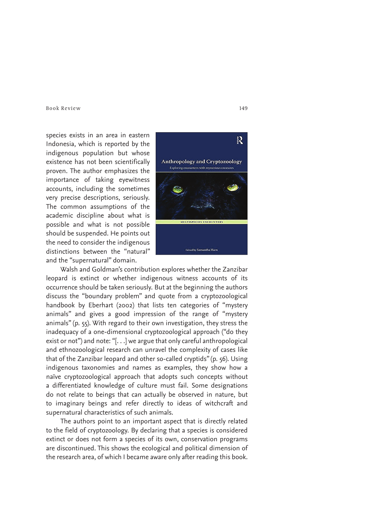species exists in an area in eastern Indonesia, which is reported by the indigenous population but whose existence has not been scientifically proven. The author emphasizes the importance of taking eyewitness accounts, including the sometimes very precise descriptions, seriously. The common assumptions of the academic discipline about what is possible and what is not possible should be suspended. He points out the need to consider the indigenous distinctions between the "natural" and the "supernatural" domain.



Walsh and Goldman's contribution explores whether the Zanzibar leopard is extinct or whether indigenous witness accounts of its occurrence should be taken seriously. But at the beginning the authors discuss the "boundary problem" and quote from a cryptozoological handbook by Eberhart (2002) that lists ten categories of "mystery animals" and gives a good impression of the range of "mystery animals" (p. 55). With regard to their own investigation, they stress the inadequacy of a one-dimensional cryptozoological approach ("do they exist or not") and note: "[. . .] we argue that only careful anthropological and ethnozoological research can unravel the complexity of cases like that of the Zanzibar leopard and other so-called cryptids" (p. 56). Using indigenous taxonomies and names as examples, they show how a naïve cryptozoological approach that adopts such concepts without a differentiated knowledge of culture must fail. Some designations do not relate to beings that can actually be observed in nature, but to imaginary beings and refer directly to ideas of witchcraft and supernatural characteristics of such animals.

The authors point to an important aspect that is directly related to the field of cryptozoology. By declaring that a species is considered extinct or does not form a species of its own, conservation programs are discontinued. This shows the ecological and political dimension of the research area, of which I became aware only after reading this book.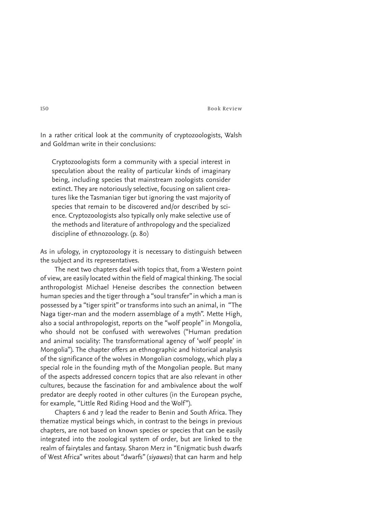In a rather critical look at the community of cryptozoologists, Walsh and Goldman write in their conclusions:

Cryptozoologists form a community with a special interest in speculation about the reality of particular kinds of imaginary being, including species that mainstream zoologists consider extinct. They are notoriously selective, focusing on salient creatures like the Tasmanian tiger but ignoring the vast majority of species that remain to be discovered and/or described by science. Cryptozoologists also typically only make selective use of the methods and literature of anthropology and the specialized discipline of ethnozoology. (p. 80)

As in ufology, in cryptozoology it is necessary to distinguish between the subject and its representatives.

The next two chapters deal with topics that, from a Western point of view, are easily located within the field of magical thinking. The social anthropologist Michael Heneise describes the connection between human species and the tiger through a "soul transfer" in which a man is possessed by a "tiger spirit" or transforms into such an animal, in "The Naga tiger-man and the modern assemblage of a myth". Mette High, also a social anthropologist, reports on the "wolf people" in Mongolia, who should not be confused with werewolves ("Human predation and animal sociality: The transformational agency of 'wolf people' in Mongolia"). The chapter offers an ethnographic and historical analysis of the significance of the wolves in Mongolian cosmology, which play a special role in the founding myth of the Mongolian people. But many of the aspects addressed concern topics that are also relevant in other cultures, because the fascination for and ambivalence about the wolf predator are deeply rooted in other cultures (in the European psyche, for example, "Little Red Riding Hood and the Wolf").

Chapters 6 and 7 lead the reader to Benin and South Africa. They thematize mystical beings which, in contrast to the beings in previous chapters, are not based on known species or species that can be easily integrated into the zoological system of order, but are linked to the realm of fairytales and fantasy. Sharon Merz in "Enigmatic bush dwarfs of West Africa" writes about "dwarfs" (*siyawesi*) that can harm and help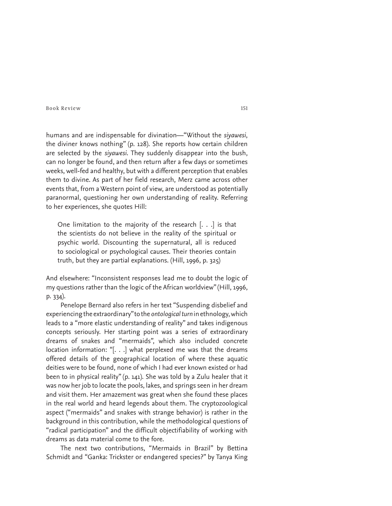humans and are indispensable for divination—"Without the *siyawesi*, the diviner knows nothing" (p. 128). She reports how certain children are selected by the *siyawesi*. They suddenly disappear into the bush, can no longer be found, and then return after a few days or sometimes weeks, well-fed and healthy, but with a different perception that enables them to divine. As part of her field research, Merz came across other events that, from a Western point of view, are understood as potentially paranormal, questioning her own understanding of reality. Referring to her experiences, she quotes Hill:

One limitation to the majority of the research [. . .] is that the scientists do not believe in the reality of the spiritual or psychic world. Discounting the supernatural, all is reduced to sociological or psychological causes. Their theories contain truth, but they are partial explanations. (Hill, 1996, p. 325)

And elsewhere: "Inconsistent responses lead me to doubt the logic of my questions rather than the logic of the African worldview" (Hill, 1996, p. 334).

Penelope Bernard also refers in her text "Suspending disbelief and experiencing the extraordinary" to the *ontological turn* in ethnology, which leads to a "more elastic understanding of reality" and takes indigenous concepts seriously. Her starting point was a series of extraordinary dreams of snakes and "mermaids", which also included concrete location information: "[. . .] what perplexed me was that the dreams offered details of the geographical location of where these aquatic deities were to be found, none of which I had ever known existed or had been to in physical reality" (p. 141). She was told by a Zulu healer that it was now her job to locate the pools, lakes, and springs seen in her dream and visit them. Her amazement was great when she found these places in the real world and heard legends about them. The cryptozoological aspect ("mermaids" and snakes with strange behavior) is rather in the background in this contribution, while the methodological questions of "radical participation" and the difficult objectifiability of working with dreams as data material come to the fore.

The next two contributions, "Mermaids in Brazil" by Bettina Schmidt and "Ganka: Trickster or endangered species?" by Tanya King

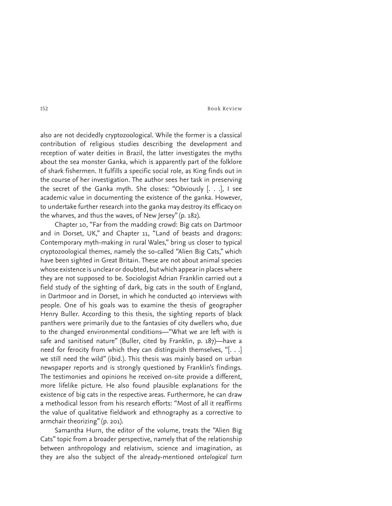also are not decidedly cryptozoological. While the former is a classical contribution of religious studies describing the development and reception of water deities in Brazil, the latter investigates the myths about the sea monster Ganka, which is apparently part of the folklore of shark fishermen. It fulfills a specific social role, as King finds out in the course of her investigation. The author sees her task in preserving the secret of the Ganka myth. She closes: "Obviously [. . .], I see academic value in documenting the existence of the ganka. However, to undertake further research into the ganka may destroy its efficacy on the wharves, and thus the waves, of New Jersey" (p. 182).

Chapter 10, "Far from the madding crowd: Big cats on Dartmoor and in Dorset, UK," and Chapter 11, "Land of beasts and dragons: Contemporary myth-making in rural Wales," bring us closer to typical cryptozoological themes, namely the so-called "Alien Big Cats," which have been sighted in Great Britain. These are not about animal species whose existence is unclear or doubted, but which appear in places where they are not supposed to be. Sociologist Adrian Franklin carried out a field study of the sighting of dark, big cats in the south of England, in Dartmoor and in Dorset, in which he conducted 40 interviews with people. One of his goals was to examine the thesis of geographer Henry Buller. According to this thesis, the sighting reports of black panthers were primarily due to the fantasies of city dwellers who, due to the changed environmental conditions—"What we are left with is safe and sanitised nature" (Buller, cited by Franklin, p. 187)—have a need for ferocity from which they can distinguish themselves, "[. . .] we still need the wild" (ibid.). This thesis was mainly based on urban newspaper reports and is strongly questioned by Franklin's findings. The testimonies and opinions he received on-site provide a different, more lifelike picture. He also found plausible explanations for the existence of big cats in the respective areas. Furthermore, he can draw a methodical lesson from his research efforts: "Most of all it reaffirms the value of qualitative fieldwork and ethnography as a corrective to armchair theorizing" (p. 201).

Samantha Hurn, the editor of the volume, treats the "Alien Big Cats" topic from a broader perspective, namely that of the relationship between anthropology and relativism, science and imagination, as they are also the subject of the already-mentioned *ontological turn*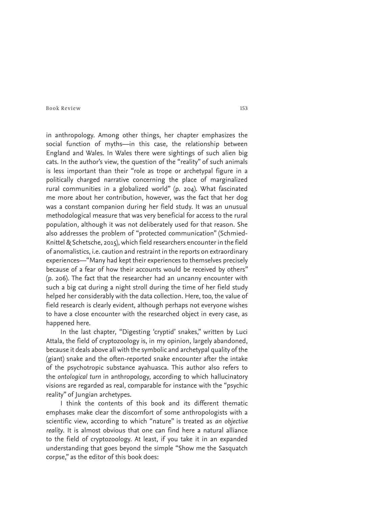in anthropology. Among other things, her chapter emphasizes the social function of myths—in this case, the relationship between England and Wales. In Wales there were sightings of such alien big cats. In the author's view, the question of the "reality" of such animals is less important than their "role as trope or archetypal figure in a politically charged narrative concerning the place of marginalized rural communities in a globalized world" (p. 204). What fascinated me more about her contribution, however, was the fact that her dog was a constant companion during her field study. It was an unusual methodological measure that was very beneficial for access to the rural population, although it was not deliberately used for that reason. She also addresses the problem of "protected communication" (Schmied-Knittel & Schetsche, 2015), which field researchers encounter in the field of anomalistics, i.e. caution and restraint in the reports on extraordinary experiences—"Many had kept their experiences to themselves precisely because of a fear of how their accounts would be received by others" (p. 206). The fact that the researcher had an uncanny encounter with such a big cat during a night stroll during the time of her field study helped her considerably with the data collection. Here, too, the value of field research is clearly evident, although perhaps not everyone wishes to have a close encounter with the researched object in every case, as happened here.

In the last chapter, "Digesting 'cryptid' snakes," written by Luci Attala, the field of cryptozoology is, in my opinion, largely abandoned, because it deals above all with the symbolic and archetypal quality of the (giant) snake and the often-reported snake encounter after the intake of the psychotropic substance ayahuasca. This author also refers to the *ontological turn* in anthropology, according to which hallucinatory visions are regarded as real, comparable for instance with the "psychic reality" of Jungian archetypes.

I think the contents of this book and its different thematic emphases make clear the discomfort of some anthropologists with a scientific view, according to which "nature" is treated as *an objective reality*. It is almost obvious that one can find here a natural alliance to the field of cryptozoology. At least, if you take it in an expanded understanding that goes beyond the simple "Show me the Sasquatch corpse," as the editor of this book does: